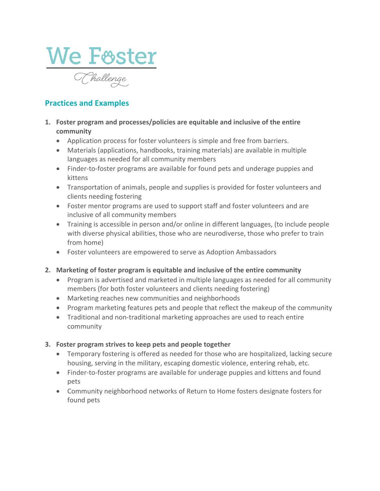

## **Practices and Examples**

- **1. Foster program and processes/policies are equitable and inclusive of the entire community** 
	- Application process for foster volunteers is simple and free from barriers.
	- Materials (applications, handbooks, training materials) are available in multiple languages as needed for all community members
	- Finder-to-foster programs are available for found pets and underage puppies and kittens
	- Transportation of animals, people and supplies is provided for foster volunteers and clients needing fostering
	- Foster mentor programs are used to support staff and foster volunteers and are inclusive of all community members
	- Training is accessible in person and/or online in different languages, (to include people with diverse physical abilities, those who are neurodiverse, those who prefer to train from home)
	- Foster volunteers are empowered to serve as Adoption Ambassadors
- **2. Marketing of foster program is equitable and inclusive of the entire community**
	- Program is advertised and marketed in multiple languages as needed for all community members (for both foster volunteers and clients needing fostering)
	- Marketing reaches new communities and neighborhoods
	- Program marketing features pets and people that reflect the makeup of the community
	- Traditional and non-traditional marketing approaches are used to reach entire community
- **3. Foster program strives to keep pets and people together**
	- Temporary fostering is offered as needed for those who are hospitalized, lacking secure housing, serving in the military, escaping domestic violence, entering rehab, etc.
	- Finder-to-foster programs are available for underage puppies and kittens and found pets
	- Community neighborhood networks of Return to Home fosters designate fosters for found pets